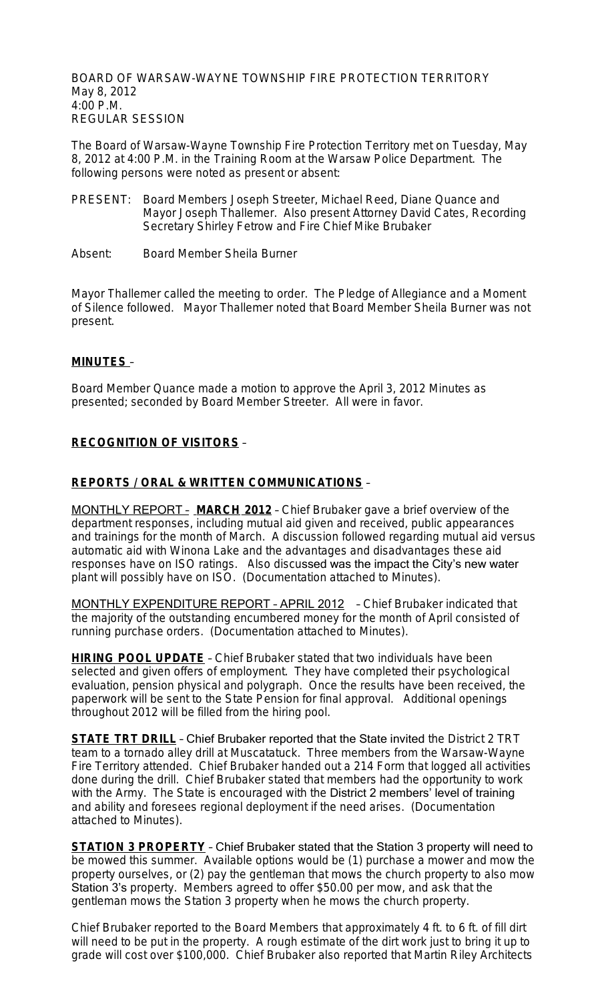BOARD OF WARSAW-WAYNE TOWNSHIP FIRE PROTECTION TERRITORY May 8, 2012 4:00 P.M. REGULAR SESSION

The Board of Warsaw-Wayne Township Fire Protection Territory met on Tuesday, May 8, 2012 at 4:00 P.M. in the Training Room at the Warsaw Police Department. The following persons were noted as present or absent:

- PRESENT: Board Members Joseph Streeter, Michael Reed, Diane Quance and Mayor Joseph Thallemer. Also present Attorney David Cates, Recording Secretary Shirley Fetrow and Fire Chief Mike Brubaker
- Absent: Board Member Sheila Burner

Mayor Thallemer called the meeting to order. The Pledge of Allegiance and a Moment of Silence followed. Mayor Thallemer noted that Board Member Sheila Burner was not present.

## **MINUTES** –

Board Member Quance made a motion to approve the April 3, 2012 Minutes as presented; seconded by Board Member Streeter. All were in favor.

## **RECOGNITION OF VISITORS** –

### **REPORTS / ORAL & WRITTEN COMMUNICATIONS** –

MONTHLY REPORT – **MARCH 2012** – Chief Brubaker gave a brief overview of the department responses, including mutual aid given and received, public appearances and trainings for the month of March. A discussion followed regarding mutual aid versus automatic aid with Winona Lake and the advantages and disadvantages these aid responses have on ISO ratings. Also discussed was the impact the City's new water plant will possibly have on ISO. (Documentation attached to Minutes).

MONTHLY EXPENDITURE REPORT – APRIL 2012 – Chief Brubaker indicated that the majority of the outstanding encumbered money for the month of April consisted of running purchase orders. (Documentation attached to Minutes).

**HIRING POOL UPDATE** – Chief Brubaker stated that two individuals have been selected and given offers of employment. They have completed their psychological evaluation, pension physical and polygraph. Once the results have been received, the paperwork will be sent to the State Pension for final approval. Additional openings throughout 2012 will be filled from the hiring pool.

**STATE TRT DRILL** - Chief Brubaker reported that the State invited the District 2 TRT team to a tornado alley drill at Muscatatuck. Three members from the Warsaw-Wayne Fire Territory attended. Chief Brubaker handed out a 214 Form that logged all activities done during the drill. Chief Brubaker stated that members had the opportunity to work with the Army. The State is encouraged with the District 2 members' level of training and ability and foresees regional deployment if the need arises. (Documentation attached to Minutes).

**STATION 3 PROPERTY** – Chief Brubaker stated that the Station 3 property will need to be mowed this summer. Available options would be (1) purchase a mower and mow the property ourselves, or (2) pay the gentleman that mows the church property to also mow Station 3's property. Members agreed to offer \$50.00 per mow, and ask that the gentleman mows the Station 3 property when he mows the church property.

Chief Brubaker reported to the Board Members that approximately 4 ft. to 6 ft. of fill dirt will need to be put in the property. A rough estimate of the dirt work just to bring it up to grade will cost over \$100,000. Chief Brubaker also reported that Martin Riley Architects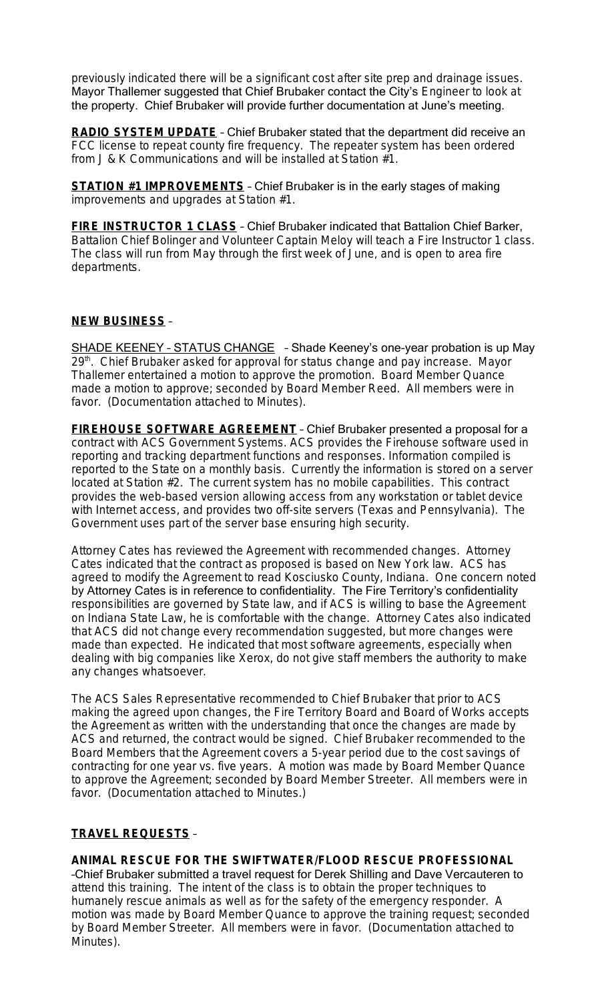previously indicated there will be a significant cost after site prep and drainage issues. Mayor Thallemer suggested that Chief Brubaker contact the City's Engineer to look at the property. Chief Brubaker will provide further documentation at June's meeting.

**RADIO SYSTEM UPDATE** – Chief Brubaker stated that the department did receive an FCC license to repeat county fire frequency. The repeater system has been ordered from J & K Communications and will be installed at Station #1.

**STATION #1 IMPROVEMENTS** – Chief Brubaker is in the early stages of making improvements and upgrades at Station #1.

**FIRE INSTRUCTOR 1 CLASS** – Chief Brubaker indicated that Battalion Chief Barker, Battalion Chief Bolinger and Volunteer Captain Meloy will teach a Fire Instructor 1 class. The class will run from May through the first week of June, and is open to area fire departments.

### **NEW BUSINESS** –

SHADE KEENEY – STATUS CHANGE – Shade Keeney's one-year probation is up May 29<sup>th</sup>. Chief Brubaker asked for approval for status change and pay increase. Mayor Thallemer entertained a motion to approve the promotion. Board Member Quance made a motion to approve; seconded by Board Member Reed. All members were in favor. (Documentation attached to Minutes).

**FIREHOUSE SOFTWARE AGREEMENT** – Chief Brubaker presented a proposal for a contract with ACS Government Systems. ACS provides the Firehouse software used in reporting and tracking department functions and responses. Information compiled is reported to the State on a monthly basis. Currently the information is stored on a server located at Station #2. The current system has no mobile capabilities. This contract provides the web-based version allowing access from any workstation or tablet device with Internet access, and provides two off-site servers (Texas and Pennsylvania). The Government uses part of the server base ensuring high security.

Attorney Cates has reviewed the Agreement with recommended changes. Attorney Cates indicated that the contract as proposed is based on New York law. ACS has agreed to modify the Agreement to read Kosciusko County, Indiana. One concern noted by Attorney Cates is in reference to confidentiality. The Fire Territory's confidentiality responsibilities are governed by State law, and if ACS is willing to base the Agreement on Indiana State Law, he is comfortable with the change. Attorney Cates also indicated that ACS did not change every recommendation suggested, but more changes were made than expected. He indicated that most software agreements, especially when dealing with big companies like Xerox, do not give staff members the authority to make any changes whatsoever.

The ACS Sales Representative recommended to Chief Brubaker that prior to ACS making the agreed upon changes, the Fire Territory Board and Board of Works accepts the Agreement as written with the understanding that once the changes are made by ACS and returned, the contract would be signed. Chief Brubaker recommended to the Board Members that the Agreement covers a 5-year period due to the cost savings of contracting for one year vs. five years. A motion was made by Board Member Quance to approve the Agreement; seconded by Board Member Streeter. All members were in favor. (Documentation attached to Minutes.)

### **TRAVEL REQUESTS** –

**ANIMAL RESCUE FOR THE SWIFTWATER/FLOOD RESCUE PROFESSIONAL** –Chief Brubaker submitted a travel request for Derek Shilling and Dave Vercauteren to attend this training. The intent of the class is to obtain the proper techniques to humanely rescue animals as well as for the safety of the emergency responder. A motion was made by Board Member Quance to approve the training request; seconded by Board Member Streeter. All members were in favor. (Documentation attached to Minutes).